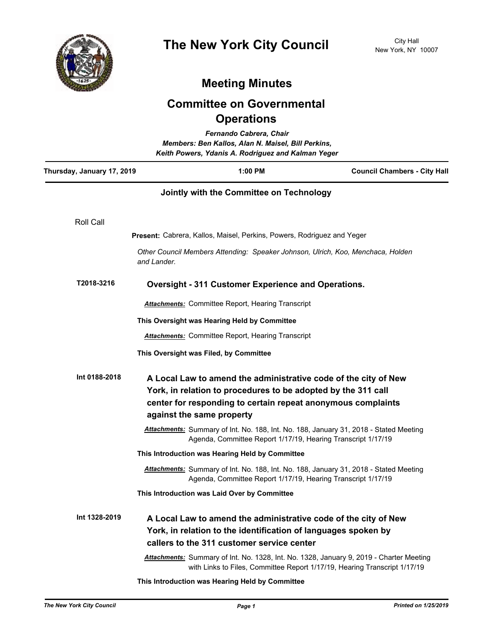

## **Meeting Minutes**

## **Committee on Governmental Operations**

| Fernando Cabrera, Chair<br>Members: Ben Kallos, Alan N. Maisel, Bill Perkins,<br>Keith Powers, Ydanis A. Rodriguez and Kalman Yeger |                                                                                                                                                                                                                               |                                                                                                                                                                                 |                                                                                       |
|-------------------------------------------------------------------------------------------------------------------------------------|-------------------------------------------------------------------------------------------------------------------------------------------------------------------------------------------------------------------------------|---------------------------------------------------------------------------------------------------------------------------------------------------------------------------------|---------------------------------------------------------------------------------------|
| Thursday, January 17, 2019                                                                                                          |                                                                                                                                                                                                                               | 1:00 PM                                                                                                                                                                         | <b>Council Chambers - City Hall</b>                                                   |
|                                                                                                                                     |                                                                                                                                                                                                                               | Jointly with the Committee on Technology                                                                                                                                        |                                                                                       |
| Roll Call                                                                                                                           |                                                                                                                                                                                                                               |                                                                                                                                                                                 |                                                                                       |
|                                                                                                                                     |                                                                                                                                                                                                                               | <b>Present:</b> Cabrera, Kallos, Maisel, Perkins, Powers, Rodriguez and Yeger                                                                                                   |                                                                                       |
|                                                                                                                                     | and Lander.                                                                                                                                                                                                                   | Other Council Members Attending: Speaker Johnson, Ulrich, Koo, Menchaca, Holden                                                                                                 |                                                                                       |
| T2018-3216                                                                                                                          | <b>Oversight - 311 Customer Experience and Operations.</b>                                                                                                                                                                    |                                                                                                                                                                                 |                                                                                       |
|                                                                                                                                     | <b>Attachments:</b> Committee Report, Hearing Transcript                                                                                                                                                                      |                                                                                                                                                                                 |                                                                                       |
|                                                                                                                                     |                                                                                                                                                                                                                               | This Oversight was Hearing Held by Committee                                                                                                                                    |                                                                                       |
|                                                                                                                                     |                                                                                                                                                                                                                               | <b>Attachments:</b> Committee Report, Hearing Transcript                                                                                                                        |                                                                                       |
|                                                                                                                                     |                                                                                                                                                                                                                               | This Oversight was Filed, by Committee                                                                                                                                          |                                                                                       |
| Int 0188-2018                                                                                                                       | A Local Law to amend the administrative code of the city of New<br>York, in relation to procedures to be adopted by the 311 call<br>center for responding to certain repeat anonymous complaints<br>against the same property |                                                                                                                                                                                 |                                                                                       |
|                                                                                                                                     | Attachments: Summary of Int. No. 188, Int. No. 188, January 31, 2018 - Stated Meeting<br>Agenda, Committee Report 1/17/19, Hearing Transcript 1/17/19                                                                         |                                                                                                                                                                                 |                                                                                       |
|                                                                                                                                     |                                                                                                                                                                                                                               | This Introduction was Hearing Held by Committee                                                                                                                                 |                                                                                       |
|                                                                                                                                     |                                                                                                                                                                                                                               | Agenda, Committee Report 1/17/19, Hearing Transcript 1/17/19                                                                                                                    | Attachments: Summary of Int. No. 188, Int. No. 188, January 31, 2018 - Stated Meeting |
|                                                                                                                                     |                                                                                                                                                                                                                               | This Introduction was Laid Over by Committee                                                                                                                                    |                                                                                       |
| Int 1328-2019                                                                                                                       |                                                                                                                                                                                                                               | A Local Law to amend the administrative code of the city of New<br>York, in relation to the identification of languages spoken by<br>callers to the 311 customer service center |                                                                                       |
|                                                                                                                                     | Attachments: Summary of Int. No. 1328, Int. No. 1328, January 9, 2019 - Charter Meeting<br>with Links to Files, Committee Report 1/17/19, Hearing Transcript 1/17/19                                                          |                                                                                                                                                                                 |                                                                                       |
|                                                                                                                                     |                                                                                                                                                                                                                               | This Introduction was Hearing Held by Committee                                                                                                                                 |                                                                                       |